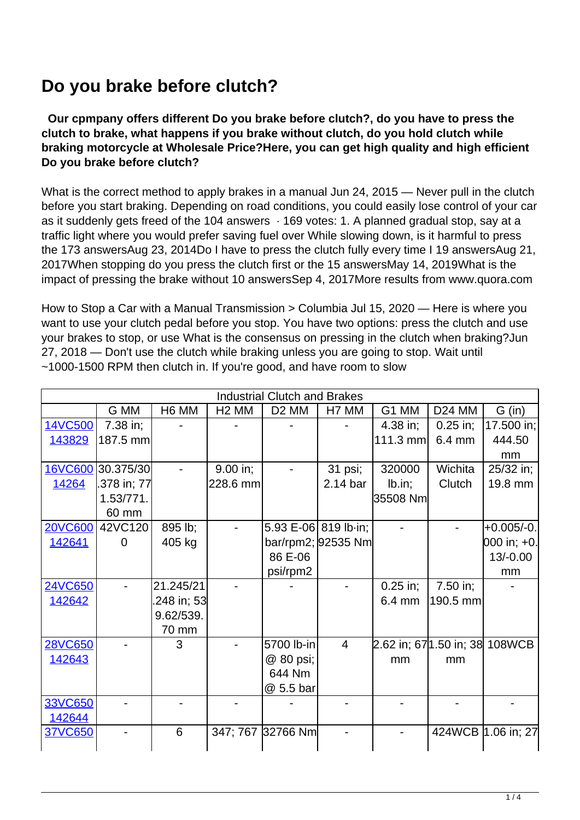## **Do you brake before clutch?**

 **Our cpmpany offers different Do you brake before clutch?, do you have to press the clutch to brake, what happens if you brake without clutch, do you hold clutch while braking motorcycle at Wholesale Price?Here, you can get high quality and high efficient Do you brake before clutch?**

What is the correct method to apply brakes in a manual Jun 24, 2015 — Never pull in the clutch before you start braking. Depending on road conditions, you could easily lose control of your car as it suddenly gets freed of the 104 answers · 169 votes: 1. A planned gradual stop, say at a traffic light where you would prefer saving fuel over While slowing down, is it harmful to press the 173 answersAug 23, 2014Do I have to press the clutch fully every time I 19 answersAug 21, 2017When stopping do you press the clutch first or the 15 answersMay 14, 2019What is the impact of pressing the brake without 10 answersSep 4, 2017More results from www.quora.com

How to Stop a Car with a Manual Transmission > Columbia Jul 15, 2020 — Here is where you want to use your clutch pedal before you stop. You have two options: press the clutch and use your brakes to stop, or use What is the consensus on pressing in the clutch when braking?Jun 27, 2018 — Don't use the clutch while braking unless you are going to stop. Wait until ~1000-1500 RPM then clutch in. If you're good, and have room to slow

| <b>Industrial Clutch and Brakes</b> |                   |             |                   |                      |                    |                                 |                  |                    |  |
|-------------------------------------|-------------------|-------------|-------------------|----------------------|--------------------|---------------------------------|------------------|--------------------|--|
|                                     | G MM              | H6 MM       | H <sub>2</sub> MM | D <sub>2</sub> MM    | H7 MM              | G1 MM                           | <b>D24 MM</b>    | G (in)             |  |
| 14VC500                             | 7.38 in;          |             |                   |                      |                    | $4.38$ in;                      | $0.25$ in;       | 17.500 in;         |  |
| 143829                              | 187.5 mm          |             |                   |                      |                    | $111.3$ mm                      | $6.4 \text{ mm}$ | 444.50             |  |
|                                     |                   |             |                   |                      |                    |                                 |                  | mm                 |  |
|                                     | 16VC600 30.375/30 |             | 9.00 in;          |                      | 31 psi;            | 320000                          | Wichita          | 25/32 in;          |  |
| 14264                               | .378 in; 77       |             | 228.6 mm          |                      | 2.14 bar           | Ib.in;                          | Clutch           | 19.8 mm            |  |
|                                     | 1.53/771.         |             |                   |                      |                    | 35508 Nm                        |                  |                    |  |
|                                     | 60 mm             |             |                   |                      |                    |                                 |                  |                    |  |
| <b>20VC600</b>                      | 42VC120           | 895 lb;     |                   | 5.93 E-06 819 lb-in; |                    |                                 |                  | $+0.005/-0.$       |  |
| 142641                              | $\Omega$          | 405 kg      |                   |                      | bar/rpm2; 92535 Nm |                                 |                  | 000 in; +0.        |  |
|                                     |                   |             |                   | 86 E-06              |                    |                                 |                  | $13/-0.00$         |  |
|                                     |                   |             |                   | psi/rpm2             |                    |                                 |                  | mm                 |  |
| 24VC650                             |                   | 21.245/21   |                   |                      |                    | $0.25$ in;                      | 7.50 in;         |                    |  |
| 142642                              |                   | .248 in; 53 |                   |                      |                    | $6.4 \text{ mm}$                | 190.5 mm         |                    |  |
|                                     |                   | 9.62/539.   |                   |                      |                    |                                 |                  |                    |  |
|                                     |                   | 70 mm       |                   |                      |                    |                                 |                  |                    |  |
| <b>28VC650</b>                      |                   | 3           |                   | 5700 lb-in           | $\overline{4}$     | 2.62 in; 67 1.50 in; 38 108 WCB |                  |                    |  |
| 142643                              |                   |             |                   | @ 80 psi;            |                    | mm                              | mm               |                    |  |
|                                     |                   |             |                   | 644 Nm               |                    |                                 |                  |                    |  |
|                                     |                   |             |                   | @ 5.5 bar            |                    |                                 |                  |                    |  |
| 33VC650                             |                   |             |                   |                      |                    |                                 |                  |                    |  |
| 142644                              |                   |             |                   |                      |                    |                                 |                  |                    |  |
| 37VC650                             |                   | 6           |                   | 347; 767 32766 Nm    |                    |                                 |                  | 424WCB 1.06 in; 27 |  |
|                                     |                   |             |                   |                      |                    |                                 |                  |                    |  |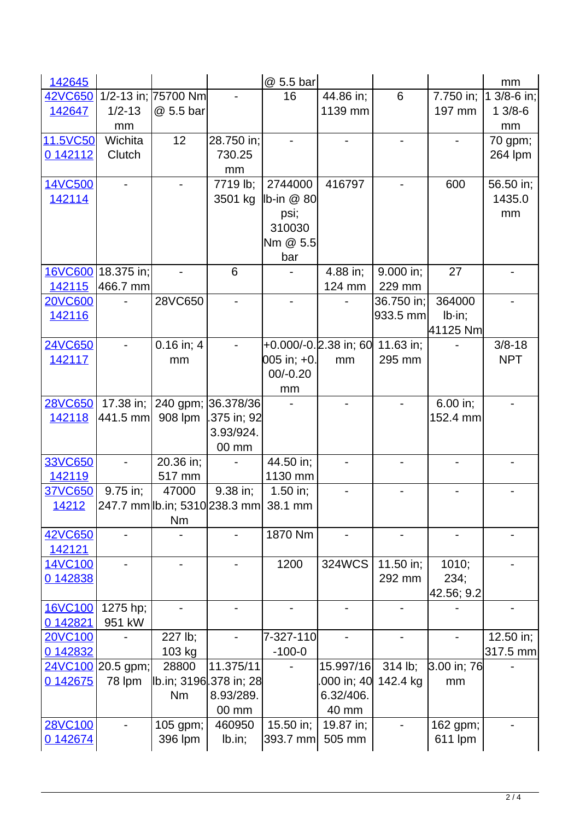| 142645         |                    |                                           |                    | @ 5.5 bar                   |                       |                 |               | mm          |
|----------------|--------------------|-------------------------------------------|--------------------|-----------------------------|-----------------------|-----------------|---------------|-------------|
| <b>42VC650</b> |                    | 1/2-13 in; 75700 Nm                       |                    | 16                          | 44.86 in;             | $6\phantom{1}6$ | 7.750 in;     | 1 3/8-6 in; |
| 142647         | $1/2 - 13$         | @ 5.5 bar                                 |                    |                             | 1139 mm               |                 | 197 mm        | $13/8-6$    |
|                | mm                 |                                           |                    |                             |                       |                 |               | mm          |
| 11.5VC50       | Wichita            | 12                                        | 28.750 in;         |                             |                       |                 |               | 70 gpm;     |
| 0 142112       | Clutch             |                                           | 730.25             |                             |                       |                 |               | 264 lpm     |
|                |                    |                                           | mm                 |                             |                       |                 |               |             |
| 14VC500        |                    |                                           | 7719 lb;           | 2744000                     | 416797                |                 | 600           | 56.50 in;   |
| 142114         |                    |                                           | 3501 kg            | $\ $ b-in $\circledcirc$ 80 |                       |                 |               | 1435.0      |
|                |                    |                                           |                    | psi;                        |                       |                 |               | mm          |
|                |                    |                                           |                    | 310030                      |                       |                 |               |             |
|                |                    |                                           |                    | Nm @ 5.5                    |                       |                 |               |             |
|                |                    |                                           |                    | bar                         |                       |                 |               |             |
|                | 16VC600 18.375 in; |                                           | 6                  |                             | 4.88 in;              | 9.000 in;       | 27            |             |
| 142115         | 466.7 mm           |                                           |                    |                             | 124 mm                | 229 mm          |               |             |
| <b>20VC600</b> |                    | 28VC650                                   |                    |                             |                       | 36.750 in;      | 364000        |             |
| 142116         |                    |                                           |                    |                             |                       | 933.5 mm        | $Ib\cdot in;$ |             |
|                |                    |                                           |                    |                             |                       |                 | 41125 Nm      |             |
| <b>24VC650</b> |                    | $0.16$ in; $4$                            |                    |                             | +0.000/-0.2.38 in; 60 | 11.63 in;       |               | $3/8 - 18$  |
| 142117         |                    | mm                                        |                    | 005 in; +0.                 | mm                    | 295 mm          |               | <b>NPT</b>  |
|                |                    |                                           |                    | $00/-0.20$                  |                       |                 |               |             |
| <b>28VC650</b> | $17.38$ in;        |                                           | 240 gpm; 36.378/36 | mm                          |                       |                 | 6.00 in;      |             |
| 142118         | 441.5 mm           | 908 lpm                                   | .375 in; 92        |                             |                       |                 | 152.4 mm      |             |
|                |                    |                                           | 3.93/924.          |                             |                       |                 |               |             |
|                |                    |                                           | 00 mm              |                             |                       |                 |               |             |
| 33VC650        |                    | 20.36 in;                                 |                    | 44.50 in;                   |                       |                 |               |             |
| 142119         |                    | 517 mm                                    |                    | 1130 mm                     |                       |                 |               |             |
| 37VC650        | 9.75 in;           | 47000                                     | 9.38 in;           | $1.50$ in;                  |                       |                 |               |             |
| <u> 14212</u>  |                    | $ 247.7$ mm lb.in; 5310 238.3 mm  38.1 mm |                    |                             |                       |                 |               |             |
|                |                    | Nm                                        |                    |                             |                       |                 |               |             |
| 42VC650        |                    |                                           |                    | 1870 Nm                     |                       |                 |               |             |
| 142121         |                    |                                           |                    |                             |                       |                 |               |             |
| 14VC100        |                    |                                           |                    | 1200                        | 324WCS                | 11.50 in;       | 1010;         |             |
| 0 142838       |                    |                                           |                    |                             |                       | 292 mm          | 234;          |             |
|                |                    |                                           |                    |                             |                       |                 | 42.56; 9.2    |             |
| 16VC100        | 1275 hp;           |                                           |                    |                             |                       |                 |               |             |
| 0 142821       | 951 kW             |                                           |                    |                             |                       |                 |               |             |
| <b>20VC100</b> |                    | 227 lb;                                   |                    | 7-327-110                   |                       |                 |               | 12.50 in;   |
| 0 142832       |                    | 103 kg                                    |                    | $-100-0$                    |                       |                 |               | 317.5 mm    |
|                | 24VC100 20.5 gpm;  | 28800                                     | 11.375/11          |                             | 15.997/16             | 314 lb;         | 3.00 in; 76   |             |
| 0 142675       | 78 lpm             | Ib.in; 3196.378 in; 28                    |                    |                             | 000 in; 40            | 142.4 kg        | mm            |             |
|                |                    | <b>Nm</b>                                 | 8.93/289.          |                             | 6.32/406.             |                 |               |             |
|                |                    |                                           | 00 mm              |                             | 40 mm                 |                 |               |             |
| 28VC100        |                    | 105 gpm;                                  | 460950             | 15.50 in;                   | 19.87 in;             |                 | 162 gpm;      |             |
| 0 142674       |                    | 396 lpm                                   | Ib.in;             | 393.7 mm                    | 505 mm                |                 | 611 lpm       |             |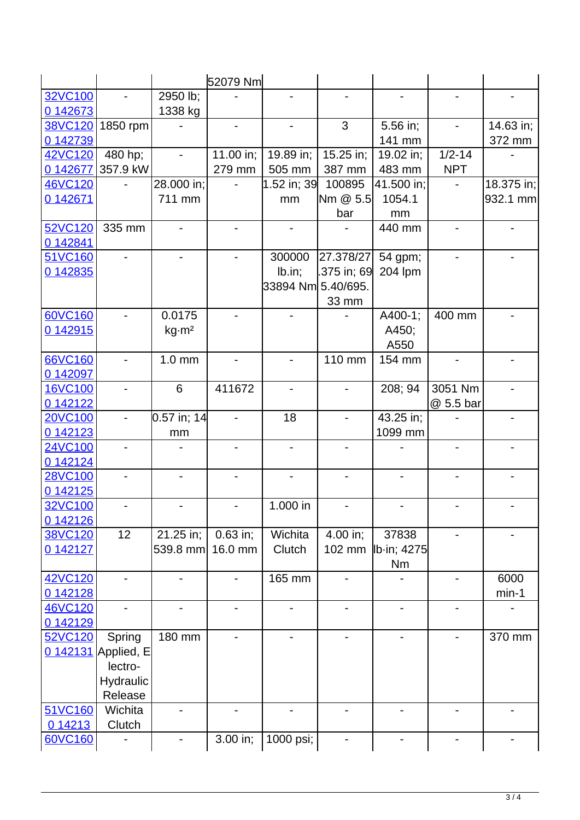|          |                              |                          | 52079 Nm                     |                          |                          |                              |                          |            |
|----------|------------------------------|--------------------------|------------------------------|--------------------------|--------------------------|------------------------------|--------------------------|------------|
| 32VC100  |                              | 2950 lb;                 |                              |                          |                          |                              |                          |            |
| 0 142673 |                              | 1338 kg                  |                              |                          |                          |                              |                          |            |
| 38VC120  | 1850 rpm                     |                          |                              |                          | 3                        | 5.56 in;                     |                          | 14.63 in;  |
| 0 142739 |                              |                          |                              |                          |                          | 141 mm                       |                          | 372 mm     |
| 42VC120  | 480 hp;                      |                          | 11.00 in;                    | 19.89 in;                | 15.25 in;                | 19.02 in;                    | $1/2 - 14$               |            |
| 0 142677 | 357.9 kW                     |                          | 279 mm                       | 505 mm                   | 387 mm                   | 483 mm                       | <b>NPT</b>               |            |
| 46VC120  |                              | 28.000 in;               |                              | 1.52 in; 39              | 100895                   | 41.500 in;                   |                          | 18.375 in; |
| 0 142671 |                              | 711 mm                   |                              | mm                       | Nm @ 5.5                 | 1054.1                       |                          | 932.1 mm   |
|          |                              |                          |                              |                          | bar                      | mm                           |                          |            |
| 52VC120  | 335 mm                       |                          |                              |                          |                          | 440 mm                       |                          |            |
| 0 142841 |                              |                          |                              |                          |                          |                              |                          |            |
| 51VC160  |                              |                          |                              | 300000                   | 27.378/27                | 54 gpm;                      |                          |            |
| 0 142835 |                              |                          |                              | Ib.in;                   | .375 in; 69              | 204 lpm                      |                          |            |
|          |                              |                          |                              | 33894 Nm  5.40/695.      |                          |                              |                          |            |
|          |                              |                          |                              |                          | 33 mm                    |                              |                          |            |
| 60VC160  |                              | 0.0175                   |                              |                          |                          | A400-1;                      | 400 mm                   |            |
| 0 142915 |                              | kg·m²                    |                              |                          |                          | A450;                        |                          |            |
|          |                              |                          |                              |                          |                          | A550                         |                          |            |
| 66VC160  |                              | $1.0 \text{ mm}$         |                              |                          | 110 mm                   | 154 mm                       |                          |            |
| 0 142097 |                              |                          |                              |                          |                          |                              |                          |            |
| 16VC100  |                              | 6                        | 411672                       |                          |                          | 208; 94                      | 3051 Nm                  |            |
| 0 142122 |                              |                          |                              |                          |                          |                              | @ 5.5 bar                |            |
| 20VC100  |                              | $0.57$ in; 14            |                              | 18                       |                          | 43.25 in;                    |                          |            |
| 0 142123 |                              | mm                       |                              |                          |                          | 1099 mm                      |                          |            |
| 24VC100  |                              |                          |                              |                          |                          |                              |                          |            |
| 0 142124 |                              |                          |                              |                          |                          |                              |                          |            |
| 28VC100  |                              |                          |                              |                          |                          |                              |                          |            |
| 0 142125 |                              |                          |                              |                          |                          |                              |                          |            |
| 32VC100  |                              |                          |                              | 1.000 in                 |                          |                              |                          |            |
| 0 142126 |                              |                          |                              |                          |                          |                              |                          |            |
| 38VC120  | 12                           | 21.25 in;                | $0.63$ in;                   | Wichita                  | 4.00 in;                 | 37838                        |                          |            |
| 0 142127 |                              | 539.8 mm                 | 16.0 mm                      | Clutch                   | 102 mm                   | Ib-in; 4275                  |                          |            |
|          |                              |                          |                              |                          |                          | <b>Nm</b>                    |                          |            |
| 42VC120  | $\qquad \qquad \blacksquare$ | $\overline{\phantom{0}}$ |                              | 165 mm                   | $\overline{\phantom{a}}$ |                              | $\overline{\phantom{a}}$ | 6000       |
| 0 142128 |                              |                          |                              |                          |                          |                              |                          | $min-1$    |
| 46VC120  | $\overline{\phantom{0}}$     | $\overline{\phantom{0}}$ | $\qquad \qquad \blacksquare$ | $\overline{\phantom{0}}$ |                          | $\qquad \qquad \blacksquare$ | -                        |            |
| 0 142129 |                              |                          |                              |                          |                          |                              |                          |            |
| 52VC120  | Spring                       | 180 mm                   |                              |                          |                          |                              |                          | 370 mm     |
|          | 0 142131 Applied, E          |                          |                              |                          |                          |                              |                          |            |
|          | lectro-                      |                          |                              |                          |                          |                              |                          |            |
|          | Hydraulic                    |                          |                              |                          |                          |                              |                          |            |
|          | Release                      |                          |                              |                          |                          |                              |                          |            |
| 51VC160  | Wichita                      |                          |                              |                          |                          |                              |                          |            |
| 0 14213  | Clutch                       |                          |                              |                          |                          |                              |                          |            |
| 60VC160  |                              |                          | 3.00 in;                     | 1000 psi;                |                          |                              |                          |            |